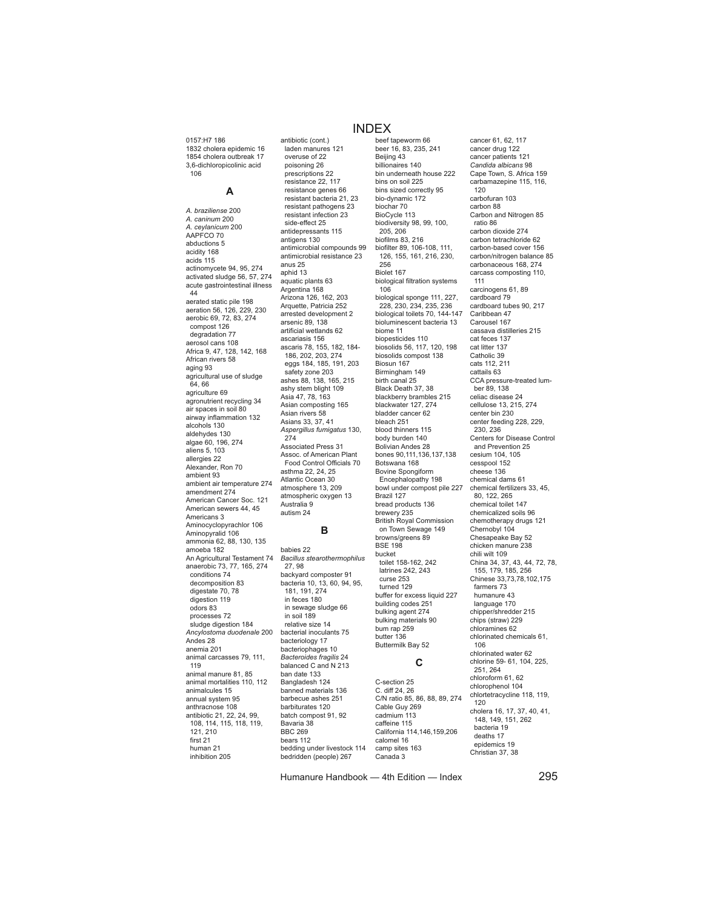0157:H7 186 1832 cholera epidemic 16 1854 cholera outbreak 17 3,6-dichloropicolinic acid 106

### **A**

*A. braziliense* 200 *A. caninum* 200 *A. ceylanicum* 200 AAPFCO 70 abductions 5 acidity 168 acids 115 actinomycete 94, 95, 274 activated sludge 56, 57, 274 acute gastrointestinal illness 44 aerated static pile 198 aeration 56, 126, 229, 230 aerobic 69, 72, 83, 274 compost 126 degradation 77 aerosol cans 108 Africa 9, 47, 128, 142, 168 African rivers 58 aging 93 agricultural use of sludge 64, 66 agriculture 69 agronutrient recycling 34 air spaces in soil 80 airway inflammation 132 alcohols 130 aldehydes 130 algae 60, 196, 274 aliens 5, 103 allergies 22 Alexander, Ron 70 ambient 93 ambient air temperature 274 amendment 274 American Cancer Soc. 121 American sewers 44, 45 Americans 3 Aminocyclopyrachlor 106 Aminopyralid 106 ammonia 62, 88, 130, 135 amoeba 182 An Agricultural Testament 74 anaerobic 73, 77, 165, 274 conditions 74 decomposition 83 digestate 70, 78 digestion 119 odors 83 processes 72 sludge digestion 184 *Ancylostoma duodenale* 200 Andes 28 anemia 201 animal carcasses 79, 111, 119 animal manure 81, 85 animal mortalities 110, 112 animalcules 15 annual system 95 anthracnose 108 antibiotic 21, 22, 24, 99, 108, 114, 115, 118, 119, 121, 210 first 21 human 21 inhibition 205

## INDEX

laden manures 121 overuse of 22 poisoning 26 prescriptions 22 resistance 22, 117 resistance genes 66 resistant bacteria 21, 23 resistant pathogens 23 resistant infection 23 side-effect 25 antidepressants 115 antigens 130 antimicrobial compounds 99 antimicrobial resistance 23 anus 25 aphid 13 aquatic plants 63 Argentina 168 Arizona 126, 162, 203 Arquette, Patricia 252 arrested development 2 arsenic 89, 138 artificial wetlands 62 ascariasis 156 ascaris 78, 155, 182, 184- 186, 202, 203, 274 eggs 184, 185, 191, 203 safety zone 203 ashes 88, 138, 165, 215 ashy stem blight 109 Asia 47, 78, 163 Asian composting 165 Asian rivers 58 Asians 33, 37, 41 *Aspergillus fumigatus* 130, 274 Associated Press 31 Assoc. of American Plant Food Control Officials 70 asthma 22, 24, 25 Atlantic Ocean 30 atmosphere 13, 209 atmospheric oxygen 13 Australia 9 autism 24 **B**

antibiotic (cont.)

babies 22 *Bacillus stearothermophilus*  27, 98 backyard composter 91 bacteria 10, 13, 60, 94, 95, 181, 191, 274 in feces 180 in sewage sludge 66 in soil 189 relative size 14 bacterial inoculants 75 bacteriology 17 bacteriophages 10 *Bacteroides fragilis* 24 balanced C and N 213 ban date 133 Bangladesh 124 banned materials 136 barbecue ashes 251 barbiturates 120 batch compost 91, 92 Bavaria 38 BBC 269 bears 112 bedding under livestock 114 bedridden (people) 267

beef tapeworm 66 beer 16, 83, 235, 241 Beijing 43 billionaires 140 bin underneath house 222 bins on soil 225 bins sized correctly 95 bio-dynamic 172 biochar 70 BioCycle 113 biodiversity 98, 99, 100, 205, 206 biofilms 83, 216 biofilter 89, 106-108, 111, 126, 155, 161, 216, 230, 256 Biolet 167 biological filtration systems 106 biological sponge 111, 227, 228, 230, 234, 235, 236 biological toilets 70, 144-147 bioluminescent bacteria 13 biome 11 biopesticides 110 biosolids 56, 117, 120, 198 biosolids compost 138 Biosun 167 Birmingham 149 birth canal 25 Black Death 37, 38 blackberry brambles 215 blackwater 127, 274 bladder cancer 62 bleach 251 blood thinners 115 body burden 140 Bolivian Andes 28 bones 90,111,136,137,138 Botswana 168 Bovine Spongiform Encephalopathy 198 bowl under compost pile 227 Brazil 127 bread products 136 brewery 235 British Royal Commission on Town Sewage 149 browns/greens 89 BSE 198 bucket toilet 158-162, 242 latrines 242, 243 curse 253 turned 129 buffer for excess liquid 227 building codes 251 bulking agent 274 bulking materials 90 bum rap 259 butter 136 Buttermilk Bay 52

# **C**

C-section 25 C. diff 24, 26 C/N ratio 85, 86, 88, 89, 274 Cable Guy 269 cadmium 113 caffeine 115 California 114,146,159,206 calomel 16 camp sites 163 Canada 3

cancer 61, 62, 117 cancer drug 122 cancer patients 121 *Candida albicans* 98 Cape Town, S. Africa 159 carbamazepine 115, 116, 120 carbofuran 103 carbon 88 Carbon and Nitrogen 85 ratio 86 carbon dioxide 274 carbon tetrachloride 62 carbon-based cover 156 carbon/nitrogen balance 85 carbonaceous 168, 274 carcass composting 110, 111 carcinogens 61, 89 cardboard 79 cardboard tubes 90, 217 Caribbean 47 Carousel 167 cassava distilleries 215 cat feces 137 cat litter 137 Catholic 39 cats 112, 211 cattails 63 CCA pressure-treated lumber 89, 138 celiac disease 24 cellulose 13, 215, 274 center bin 230 center feeding 228, 229, 230, 236 Centers for Disease Control and Prevention 25 cesium 104, 105 cesspool 152 cheese 136 chemical dams 61 chemical fertilizers 33, 45, 80, 122, 265 chemical toilet 147 chemicalized soils 96 chemotherapy drugs 121 Chernobyl 104 Chesapeake Bay 52 chicken manure 238 chili wilt 109 China 34, 37, 43, 44, 72, 78, 155, 179, 185, 256 Chinese 33,73,78,102,175 farmers 73 humanure 43 language 170 chipper/shredder 215 chips (straw) 229 chloramines 62 chlorinated chemicals 61, 106 chlorinated water 62 chlorine 59- 61, 104, 225, 251, 264 chloroform 61, 62 chlorophenol 104 chlortetracycline 118, 119, 120 cholera 16, 17, 37, 40, 41, 148, 149, 151, 262 bacteria 19 deaths 17

Humanure Handbook — 4th Edition — Index 295

epidemics 19 Christian 37, 38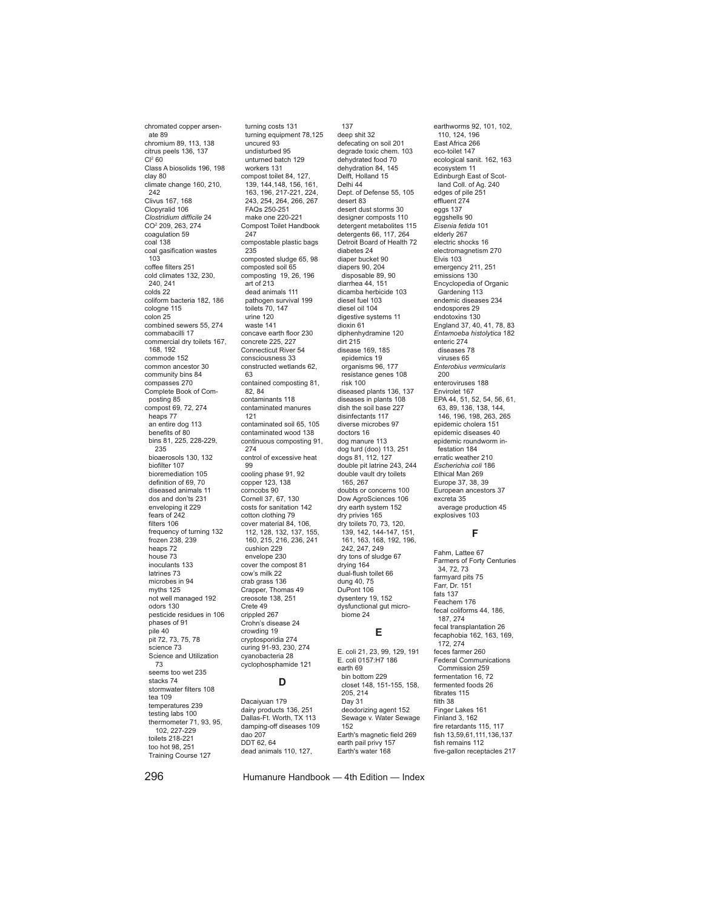chromated copper arsenate 89 chromium 89, 113, 138 citrus peels 136, 137  $CI<sup>2</sup> 60$ Class A biosolids 196, 198 clay 80 climate change 160, 210, 242 Clivus 167, 168 Clopyralid 106 *Clostridium difficile* 24 CO2 209, 263, 274 coagulation 59 coal 138 coal gasification wastes 103 coffee filters 251 cold climates 132, 230, 240, 241 colds 22 coliform bacteria 182, 186 cologne 115 colon 25 combined sewers 55, 274 commabacilli 17 commercial dry toilets 167, 168, 192 commode 152 common ancestor 30 community bins 84 compasses 270 Complete Book of Composting 85 compost 69, 72, 274 heaps 77 an entire dog 113 benefits of 80 bins 81, 225, 228-229, 235 bioaerosols 130, 132 biofilter 107 bioremediation 105 definition of 69, 70 diseased animals 11 dos and don'ts 231 enveloping it 229 fears of 242 filters 106 frequency of turning 132 frozen 238, 239 heaps 72 house 73 inoculants 133 latrines 73 microbes in 94 myths 125 not well managed 192 odors 130 pesticide residues in 106 phases of 91 pile 40 pit 72, 73, 75, 78 science 73 Science and Utilization 73 seems too wet 235 stacks 74 stormwater filters 108 tea 109 temperatures 239 testing labs 100 thermometer 71, 93, 95, 102, 227-229 toilets 218-221 too hot 98, 251 Training Course 127

turning costs 131 turning equipment 78,125 uncured 93 undisturbed 95 unturned batch 129 workers 131 compost toilet 84, 127, 139, 144,148, 156, 161, 163, 196, 217-221, 224, 243, 254, 264, 266, 267 FAQs 250-251 make one 220-221 Compost Toilet Handbook 247 compostable plastic bags 235 composted sludge 65, 98 composted soil 65 composting 19, 26, 196 art of 213 dead animals 111 pathogen survival 199 toilets 70, 147 urine 120 waste 141 concave earth floor 230 concrete 225, 227 Connecticut River 54 consciousness 33 constructed wetlands 62, 63 contained composting 81, 82, 84 contaminants 118 contaminated manures 121 contaminated soil 65, 105 contaminated wood 138 continuous composting 91, 274 control of excessive heat **99** cooling phase 91, 92 copper 123, 138 corncobs 90 Cornell 37, 67, 130 costs for sanitation 142 cotton clothing 79 cover material 84, 106, 112, 128, 132, 137, 155, 160, 215, 216, 236, 241 cushion 229 envelope 230 cover the compost 81 cow's milk 22 crab grass 136 Crapper, Thomas 49 creosote 138, 251 Crete 49 crippled 267 Crohn's disease 24 crowding 19 cryptosporidia 274 curing 91-93, 230, 274 cyanobacteria 28 cyclophosphamide 121 **D**

Dacaiyuan 179 dairy products 136, 251 Dallas-Ft. Worth, TX 113 damping-off diseases 109 dao 207 DDT 62, 64 dead animals 110, 127,

diabetes 24 diaper bucket 90 diapers 90, 204 disposable 89, 90 diarrhea 44, 151 dicamba herbicide 103 diesel fuel 103 diesel oil 104 digestive systems 11 dioxin 61 diphenhydramine 120 dirt 215 disease 169, 185 epidemics 19 organisms 96, 177 resistance genes 108 risk 100 diseased plants 136, 137 diseases in plants 108 dish the soil base 227 disinfectants 117 diverse microbes 97 doctors 16 dog manure 113 dog turd (doo) 113, 251 dogs 81, 112, 127 double pit latrine 243, 244 double vault dry toilets 165, 267 doubts or concerns 100 Dow AgroSciences 106 dry earth system 152 dry privies 165 dry toilets 70, 73, 120, 139, 142, 144-147, 151, 161, 163, 168, 192, 196, 242, 247, 249 dry tons of sludge 67 drying 164 dual-flush toilet 66 dung 40, 75 DuPont 106 dysentery 19, 152 dysfunctional gut microbiome 24 **E** E. coli 21, 23, 99, 129, 191 E. coli 0157:H7 186 earth 69 bin bottom 229 closet 148, 151-155, 158, 205, 214 Day 31 deodorizing agent 152

Sewage v. Water Sewage

Earth's magnetic field 269 earth pail privy 157 Earth's water 168

137 deep shit 32 defecating on soil 201 degrade toxic chem. 103 dehydrated food 70 dehydration 84, 145 Delft, Holland 15 Delhi 44

desert 83 desert dust storms 30 designer composts 110 detergent metabolites 115 detergents 66, 117, 264 Detroit Board of Health 72

Dept. of Defense 55, 105

eggs 137 eggshells 90 *Eisenia fetida* 101 elderly 267 electric shocks 16 electromagnetism 270 Elvis 103 emergency 211, 251 emissions 130 Encyclopedia of Organic Gardening 113 endemic diseases 234 endospores 29 endotoxins 130 England 37, 40, 41, 78, 83 *Entamoeba histolytica* 182 enteric 274 diseases 78 viruses 65 *Enterobius vermicularis* 200 enteroviruses 188 Envirolet 167 EPA 44, 51, 52, 54, 56, 61, 63, 89, 136, 138, 144, 146, 196, 198, 263, 265 epidemic cholera 151 epidemic diseases 40 epidemic roundworm infestation 184 erratic weather 210 *Escherichia coli* 186 Ethical Man 269 Europe 37, 38, 39 European ancestors 37 excreta 35 average production 45 explosives 103 **F** Fahm, Lattee 67 Farmers of Forty Centuries 34, 72, 73 farmyard pits 75 Farr, Dr. 151 fats 137 Feachem 176 fecal coliforms 44, 186, 187, 274 fecal transplantation 26 fecaphobia 162, 163, 169, 172, 274 feces farmer 260 Federal Communications Commission 259 fermentation 16, 72 fermented foods 26 fibrates 115 filth 38 Finger Lakes 161

earthworms 92, 101, 102, 110, 124, 196 East Africa 266 eco-toilet 147 ecological sanit. 162, 163 ecosystem 11 Edinburgh East of Scotland Coll. of Ag. 240 edges of pile 251 effluent 274

Finland 3, 162 fire retardants 115, 117 fish 13,59,61,111,136,137 fish remains 112 five-gallon receptacles 217

296 Humanure Handbook — 4th Edition — Index

152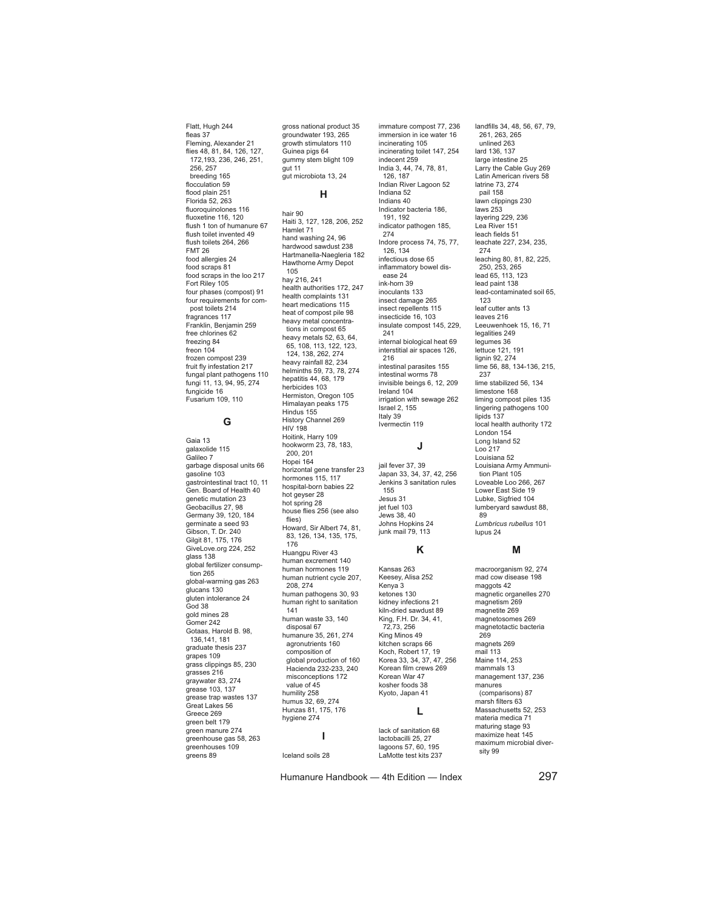Flatt, Hugh 244 fleas 37 Fleming, Alexander 21 flies 48, 81, 84, 126, 127, 172,193, 236, 246, 251, 256, 257 breeding 165 flocculation 59 flood plain 251 Florida 52, 263 fluoroquinolones 116 fluoxetine 116, 120 flush 1 ton of humanure 67 flush toilet invented 49 flush toilets 264, 266 FMT 26 food allergies 24 food scraps 81 food scraps in the loo 217 Fort Riley 105 four phases (compost) 91 four requirements for compost toilets 214 fragrances 117 Franklin, Benjamin 259 free chlorines 62 freezing 84 freon 104 frozen compost 239 fruit fly infestation 217 fungal plant pathogens 110 fungi 11, 13, 94, 95, 274 fungicide 16 Fusarium 109, 110

### **G**

Gaia 13 galaxolide 115 Galileo 7 garbage disposal units 66 gasoline 103 gastrointestinal tract 10, 11 Gen. Board of Health 40 genetic mutation 23 Geobacillus 27, 98 Germany 39, 120, 184 germinate a seed 93 Gibson, T. Dr. 240 Gilgit 81, 175, 176 GiveLove.org 224, 252 glass 138 global fertilizer consumption 265 global-warming gas 263 glucans 130 gluten intolerance 24 God 38 gold mines 28 Gomer 242 Gotaas, Harold B. 98, 136,141, 181 graduate thesis 237 grapes 109 grass clippings 85, 230 grasses 216 graywater 83, 274 grease 103, 137 grease trap wastes 137 Great Lakes 56 Greece 269 green belt 179 green manure 274 greenhouse gas 58, 263 greenhouses 109 greens 89

gross national product 35 groundwater 193, 265 growth stimulators 110 Guinea pigs 64 gummy stem blight 109 gut 11 gut microbiota 13, 24

## **H**

hair 90 Haiti 3, 127, 128, 206, 252 Hamlet 71 hand washing 24, 96 hardwood sawdust 238 Hartmanella-Naegleria 182 Hawthorne Army Depot 105 hay 216, 241 health authorities 172, 247 health complaints 131 heart medications 115 heat of compost pile 98 heavy metal concentrations in compost 65 heavy metals 52, 63, 64, 65, 108, 113, 122, 123, 124, 138, 262, 274 heavy rainfall 82, 234 helminths 59, 73, 78, 274 hepatitis 44, 68, 179 herbicides 103 Hermiston, Oregon 105 Himalayan peaks 175 Hindus 155 History Channel 269 HIV 198 Hoitink, Harry 109 hookworm 23, 78, 183, 200, 201 Hopei 164 horizontal gene transfer 23 hormones 115, 117 hospital-born babies 22 hot geyser 28 hot spring 28 house flies 256 (see also flies) Howard, Sir Albert 74, 81, 83, 126, 134, 135, 175, 176 Huangpu River 43 human excrement 140 human hormones 119 human nutrient cycle 207, 208, 274 human pathogens 30, 93 human right to sanitation 141 human waste 33, 140 disposal 67 humanure 35, 261, 274 agronutrients 160 composition of global production of 160 Hacienda 232-233, 240 misconceptions 172 value of 45 humility 258 humus 32, 69, 274 Hunzas 81, 175, 176 hygiene 274

**I**

Iceland soils 28

immature compost 77, 236 immersion in ice water 16 incinerating 105 incinerating toilet 147, 254 indecent 259 India 3, 44, 74, 78, 81, 126, 187 Indian River Lagoon 52 Indiana 52 Indians 40 Indicator bacteria 186, 191, 192 indicator pathogen 185, 274 Indore process 74, 75, 77, 126, 134 infectious dose 65 inflammatory bowel disease 24 ink-horn 39 inoculants 133 insect damage 265 insect repellents 115 insecticide 16, 103 insulate compost 145, 229, 241 internal biological heat 69 interstitial air spaces 126, 216 intestinal parasites 155 intestinal worms 78 invisible beings 6, 12, 209 Ireland 104 irrigation with sewage 262 Israel 2, 155 Italy 39 Ivermectin 119

#### **J**

jail fever 37, 39 Japan 33, 34, 37, 42, 256 Jenkins 3 sanitation rules 155 Jesus 31 jet fuel 103 Jews 38, 40 Johns Hopkins 24 junk mail 79, 113

#### **K**

Kansas 263 Keesey, Alisa 252 Kenya 3 ketones 130 kidney infections 21 kiln-dried sawdust 89 King, F.H. Dr. 34, 41, 72,73, 256 King Minos 49 kitchen scraps 66 Koch, Robert 17, 19 Korea 33, 34, 37, 47, 256 Korean film crews 269 Korean War 47 kosher foods 38 Kyoto, Japan 41

## **L**

lack of sanitation 68 lactobacilli 25, 27 lagoons 57, 60, 195 LaMotte test kits 237

Humanure Handbook — 4th Edition — Index 297

landfills 34, 48, 56, 67, 79, 261, 263, 265 unlined 263 lard 136, 137 large intestine 25 Larry the Cable Guy 269 Latin American rivers 58 latrine 73, 274 pail 158 lawn clippings 230 laws 253 layering 229, 236 Lea River 151 leach fields 51 leachate 227, 234, 235, 274 leaching 80, 81, 82, 225, 250, 253, 265 lead 65, 113, 123 lead paint 138 lead-contaminated soil 65, 123 leaf cutter ants 13 leaves 216 Leeuwenhoek 15, 16, 71 legalities 249 legumes 36 lettuce 121, 191 lignin 92, 274 lime 56, 88, 134-136, 215, 237 lime stabilized 56, 134 limestone 168 liming compost piles 135 lingering pathogens 100 lipids 137 local health authority 172 London 154 Long Island 52 Loo 217 Louisiana 52 Louisiana Army Ammunition Plant 105 Loveable Loo 266, 267 Lower East Side 19 Lubke, Sigfried 104 lumberyard sawdust 88, 89 *Lumbricus rubellus* 101 lupus 24

#### **M**

macroorganism 92, 274 mad cow disease 198 maggots 42 magnetic organelles 270 magnetism 269 magnetite 269 magnetosomes 269 magnetotactic bacteria 269 magnets 269 mail 113 Maine 114, 253 mammals 13 management 137, 236 manures (comparisons) 87 marsh filters 63 Massachusetts 52, 253 materia medica 71 maturing stage 93 maximize heat 145 maximum microbial diversity 99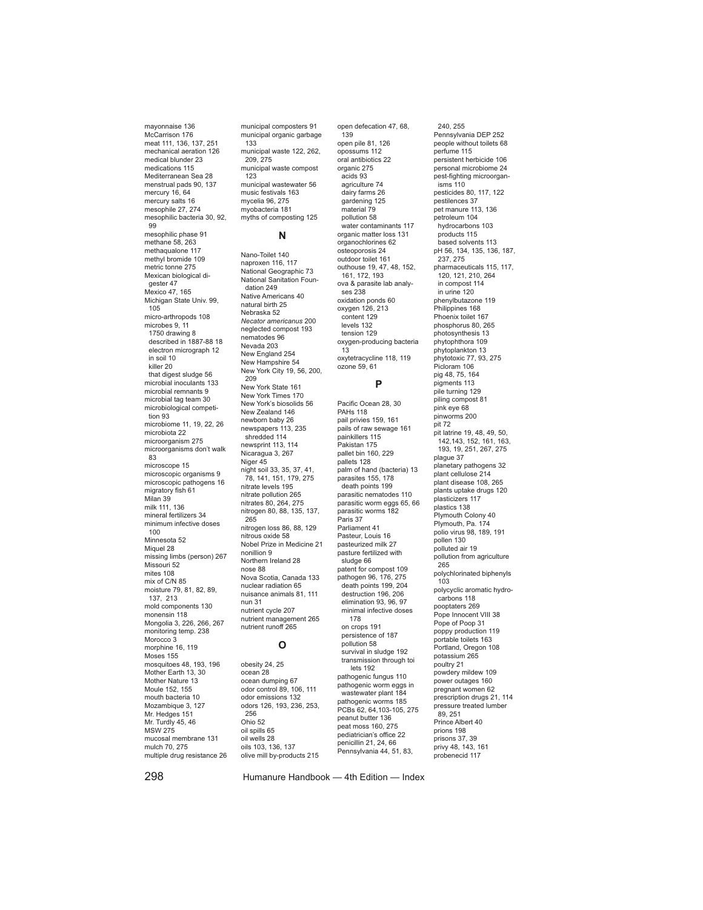mayonnaise 136 McCarrison 176 meat 111, 136, 137, 251 mechanical aeration 126 medical blunder 23 medications 115 Mediterranean Sea 28 menstrual pads 90, 137 mercury 16, 64 mercury salts 16 mesophile 27, 274 mesophilic bacteria 30, 92,  $99$ mesophilic phase 91 methane 58, 263 methaqualone 117 methyl bromide 109 metric tonne 275 Mexican biological digester 47 Mexico 47, 165 Michigan State Univ. 99, 105 micro-arthropods 108 microbes 9, 11 1750 drawing 8 described in 1887-88 18 electron micrograph 12 in soil 10 killer 20 that digest sludge 56 microbial inoculants 133 microbial remnants 9 microbial tag team 30 microbiological competition 93 microbiome 11, 19, 22, 26 microbiota 22 microorganism 275 microorganisms don't walk 83 microscope 15 microscopic organisms 9 microscopic pathogens 16 migratory fish 61 Milan 39 milk 111, 136 mineral fertilizers 34 minimum infective doses 100 Minnesota 52 Miquel 28 missing limbs (person) 267 Missouri 52 mites 108 mix of C/N 85 moisture 79, 81, 82, 89, 137, 213 mold components 130 monensin 118 Mongolia 3, 226, 266, 267 monitoring temp. 238 Morocco<sup>3</sup> morphine 16, 119 Moses 155 mosquitoes 48, 193, 196 Mother Earth 13, 30 Mother Nature 13 Moule 152, 155 mouth bacteria 10 Mozambique 3, 127 Mr. Hedges 151 Mr. Turdly 45, 46 MSW 275 mucosal membrane 131 mulch 70, 275 multiple drug resistance 26

municipal composters 91 municipal organic garbage 133 municipal waste 122, 262, 209, 275 municipal waste compost  $123$ municipal wastewater 56 music festivals 163 music resmand myobacteria 181 myths of composting 125

#### **N**

Nano-Toilet 140 naproxen 116, 117 National Geographic 73 National Sanitation Foundation 249 Native Americans 40 natural birth 25 Nebraska 52 *Necator americanus* 200 neglected compost 193 nematodes 96 Nevada 203 New England 254 New Hampshire 54 New York City 19, 56, 200, 209 New York State 161 New York Times 170 New York's biosolids 56 New Zealand 146 newborn baby 26 newspapers 113, 235 shredded 114 newsprint 113, 114 Nicaragua 3, 267 Niger 45 night soil 33, 35, 37, 41, 78, 141, 151, 179, 275 nitrate levels 195 nitrate pollution 265 nitrates 80, 264, 275 nitrogen 80, 88, 135, 137, 265 nitrogen loss 86, 88, 129 nitrous oxide 58 Nobel Prize in Medicine 21 nonillion 9 Northern Ireland 28 nose 88 Nova Scotia, Canada 133 nuclear radiation 65 nuisance animals 81, 111 nun 31 nutrient cycle 207 nutrient management 265 nutrient runoff 265

#### **O**

obesity 24, 25 ocean 28 ocean dumping 67 odor control 89, 106, 111 odor emissions 132 odors 126, 193, 236, 253, 256 Ohio 52 oil spills 65 oil wells 28 oils 103, 136, 137 olive mill by-products 215

open pile 81, 126 opossums 112 oral antibiotics 22 organic 275 acids 93 agriculture 74 dairy farms 26 gardening 125 material 79 pollution 58 .<br>water contaminants 117 organic matter loss 131 organochlorines 62 osteoporosis 24 outdoor toilet 161 outhouse 19, 47, 48, 152, 161, 172, 193 ova & parasite lab analyses 238 oxidation ponds 60 oxygen 126, 213 content 129 levels 132 tension 129 oxygen-producing bacteria 13 oxytetracycline 118, 119 ozone 59, 61 **P** Pacific Ocean 28, 30 PAHs 118 pail privies 159, 161 pails of raw sewage 161 painkillers 115 Pakistan 175 pallet bin 160, 229 pallets 128 palm of hand (bacteria) 13 parasites 155, 178 death points 199 parasitic nematodes 110 parasitic worm eggs 65, 66 parasitic worms 182 .<br>Paris 37 Parliament 41 Pasteur, Louis 16 pasteurized milk 27 pasture fertilized with sludge 66 patent for compost 109 pathogen 96, 176, 275 death points 199, 204 destruction 196, 206 elimination 93, 96, 97 minimal infective doses 178 on crops 191 persistence of 187 pollution 58 survival in sludge 192 transmission through toi lets 192 pathogenic fungus 110 pathogenic worm eggs in wastewater plant 184 pathogenic worms 185 PCBs 62, 64,103-105, 275 peanut butter 136 peat moss 160, 275 pediatrician's office 22 penicillin 21, 24, 66 Pennsylvania 44, 51, 83,

open defecation 47, 68, 139

240, 255 Pennsylvania DEP 252 people without toilets 68 perfume 115 persistent herbicide 106 personal microbiome 24 pest-fighting microorganisms 110 pesticides 80, 117, 122 pestilences 37 pet manure 113, 136 petroleum 104 hydrocarbons 103 products 115 based solvents 113 pH 56, 134, 135, 136, 187, 237, 275 pharmaceuticals 115, 117, 120, 121, 210, 264 in compost 114 in urine 120 phenylbutazone 119 Philippines 168 Phoenix toilet 167 phosphorus 80, 265 photosynthesis 13 phytophthora 109 phytoplankton 13 phytotoxic 77, 93, 275 Picloram 106 pig 48, 75, 164 pigments 113 pile turning 129 piling compost 81 pink eye 68 pinworms 200 pit 72 pit latrine 19, 48, 49, 50, 142,143, 152, 161, 163, 193, 19, 251, 267, 275 plague 37 planetary pathogens 32 plant cellulose 214 plant disease 108, 265 plants uptake drugs 120 .<br>plasticizers 117 plastics 138 Plymouth Colony 40 Plymouth, Pa. 174 polio virus 98, 189, 191 pollen 130 polluted air 19 pollution from agriculture 265 polychlorinated biphenyls 103 polycyclic aromatic hydrocarbons 118 pooptaters 269 Pope Innocent VIII 38 Pope of Poop 31 poppy production 119 portable toilets 163 Portland, Oregon 108 potassium 265 poultry 21 powdery mildew 109 power outages 160 pregnant women 62 prescription drugs 21, 114 pressure treated lumber 89, 251 Prince Albert 40 prions 198 prisons 37, 39 privy 48, 143, 161 probenecid 117

298 Humanure Handbook — 4th Edition — Index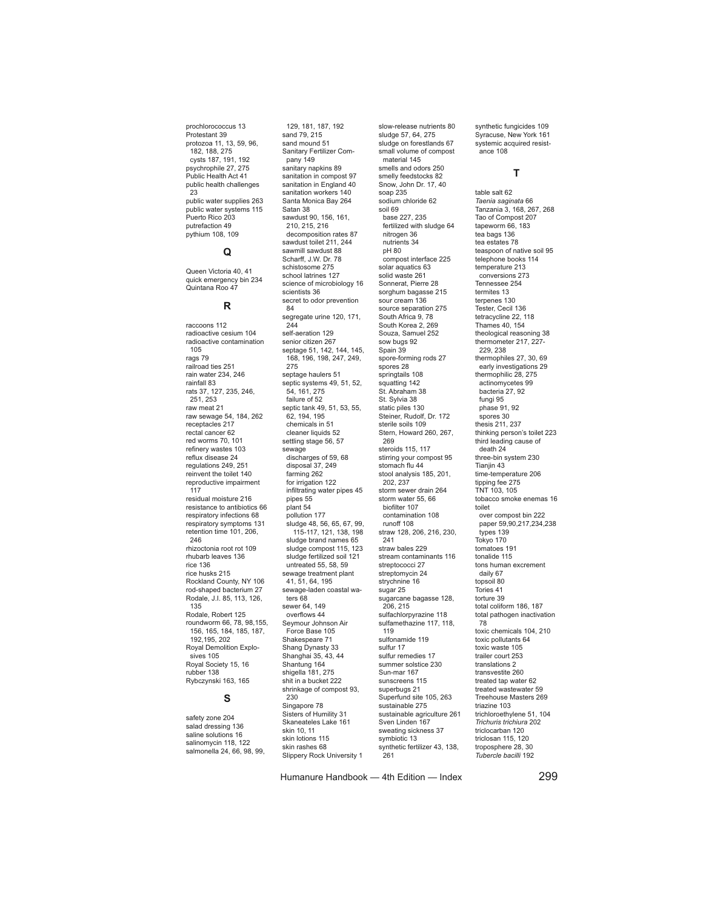prochlorococcus 13 Protestant 39 protozoa 11, 13, 59, 96, 182, 188, 275 cysts 187, 191, 192 psychrophile 27, 275 Public Health Act 41 public health challenges 23 public water supplies 263 public water systems 115 Puerto Rico 203 putrefaction 49 pythium 108, 109

## **Q**

Queen Victoria 40, 41 quick emergency bin 234 Quintana Roo 47

#### **R**

raccoons 112 radioactive cesium 104 radioactive contamination 105 rags 79 railroad ties 251 rain water 234, 246 rainfall 83 rats 37, 127, 235, 246, 251, 253 raw meat 21 raw sewage 54, 184, 262 receptacles 217 rectal cancer 62 red worms 70, 101 refinery wastes 103 reflux disease 24 regulations 249, 251 reinvent the toilet 140 reproductive impairment 117 residual moisture 216 resistance to antibiotics 66 respiratory infections 68 respiratory symptoms 131 retention time 101, 206, 246 rhizoctonia root rot 109 rhubarb leaves 136 rice 136 rice husks 215 Rockland County, NY 106 rod-shaped bacterium 27 Rodale, J.I. 85, 113, 126, 135 Rodale, Robert 125 roundworm 66, 78, 98,155, 156, 165, 184, 185, 187, 192,195, 202 Royal Demolition Explosives 105 Royal Society 15, 16 rubber 138 Rybczynski 163, 165

## **S**

safety zone 204 salad dressing 136 saline solutions 16 salinomycin 118, 122 salmonella 24, 66, 98, 99,

129, 181, 187, 192 sand 79, 215 sand mound 51 Sanitary Fertilizer Company 149 sanitary napkins 89 sanitation in compost 97 sanitation in England 40 sanitation workers 140 Santa Monica Bay 264 Satan 38 sawdust 90, 156, 161, 210, 215, 216 decomposition rates 87 sawdust toilet 211, 244 sawmill sawdust 88 Scharff, J.W. Dr. 78 schistosome 275 school latrines 127 science of microbiology 16 scientists 36 secret to odor prevention 84 segregate urine 120, 171, 244 self-aeration 129 senior citizen 267 septage 51, 142, 144, 145, 168, 196, 198, 247, 249, 275 septage haulers 51 septic systems 49, 51, 52, 54, 161, 275 failure of 52 septic tank 49, 51, 53, 55, 62, 194, 195 chemicals in 51 cleaner liquids 52 settling stage 56, 57 sewage discharges of 59, 68 disposal 37, 249 farming 262 for irrigation 122 infiltrating water pipes 45 pipes 55 plant 54 pollution 177 sludge 48, 56, 65, 67, 99, 115-117, 121, 138, 198 sludge brand names 65 sludge compost 115, 123 sludge fertilized soil 121 untreated 55, 58, 59 sewage treatment plant 41, 51, 64, 195 sewage-laden coastal waters 68 sewer 64, 149 overflows 44 Seymour Johnson Air Force Base 105 Shakespeare 71 Shang Dynasty 33 Shanghai 35, 43, 44 Shantung 164 shigella 181, 275 shit in a bucket 222 shrinkage of compost 93, 230 Singapore 78 Sisters of Humility 31 Skaneateles Lake 161 skin 10, 11 skin lotions 115 skin rashes 68 Slippery Rock University 1

slow-release nutrients 80 sludge 57, 64, 275 sludge on forestlands 67 small volume of compost material 145 smells and odors 250 smelly feedstocks 82 Snow, John Dr. 17, 40 soap 235 sodium chloride 62 soil 69 base 227, 235 fertilized with sludge 64 nitrogen 36 nutrients 34 pH 80 compost interface 225 solar aquatics 63 solid waste 261 Sonnerat, Pierre 28 sorghum bagasse 215 sour cream 136 source separation 275 South Africa 9, 78 South Korea 2, 269 Souza, Samuel 252 sow bugs 92 Spain 39 spore-forming rods 27 spores 28 springtails 108 squatting 142 St. Abraham 38 St. Sylvia 38 static piles 130 Steiner, Rudolf, Dr. 172 sterile soils 109 Stern, Howard 260, 267, 269 steroids 115, 117 stirring your compost 95 stomach flu 44 stool analysis 185, 201, 202, 237 storm sewer drain 264 storm water 55, 66 biofilter 107 contamination 108 runoff 108 straw 128, 206, 216, 230, 241 straw bales 229 stream contaminants 116 streptococci 27 streptomycin 24 strychnine 16 sugar 25 sugarcane bagasse 128, 206, 215 sulfachlorpyrazine 118 sulfamethazine 117, 118, 119 sulfonamide 119 sulfur 17 sulfur remedies 17 summer solstice 230 Sun-mar 167 sunscreens 115 superbugs 21 Superfund site 105, 263 sustainable 275 sustainable agriculture 261 Sven Linden 167 sweating sickness 37 symbiotic 13 synthetic fertilizer 43, 138, .<br>261

synthetic fungicides 109 Syracuse, New York 161 systemic acquired resistance 108

#### **T**

table salt 62 *Taenia saginata* 66 Tanzania 3, 168, 267, 268 Tao of Compost 207 tapeworm 66, 183 tea bags 136 tea estates 78 teaspoon of native soil 95 telephone books 114 temperature 213 conversions 273 Tennessee 254 termites 13 terpenes 130 Tester, Cecil 136 tetracycline 22, 118 Thames 40, 154 theological reasoning 38 thermometer 217, 227- 229, 238 thermophiles 27, 30, 69 early investigations 29 thermophilic 28, 275 actinomycetes 99 bacteria 27, 92 fungi 95 phase 91, 92 spores 30 thesis 211, 237 thinking person's toilet 223 third leading cause of death 24 three-bin system 230 Tianiin 43 time-temperature 206 tipping fee 275 TNT 103, 105 tobacco smoke enemas 16 toilet over compost bin 222 paper 59,90,217,234,238 types 139 Tokyo 170 tomatoes 191 tonalide 115 tons human excrement daily 67 topsoil 80 Tories 41 torture 39 total coliform 186, 187 total pathogen inactivation 78 toxic chemicals 104, 210 toxic pollutants 64 toxic waste 105 trailer court 253 translations 2 transvestite 260 treated tap water 62 treated wastewater 59 Treehouse Masters 269 triazine 103 trichloroethylene 51, 104 *Trichuris trichiura* 202 triclocarban 120 triclosan 115, 120 troposphere 28, 30 *Tubercle bacilli* 192

Humanure Handbook — 4th Edition — Index 299